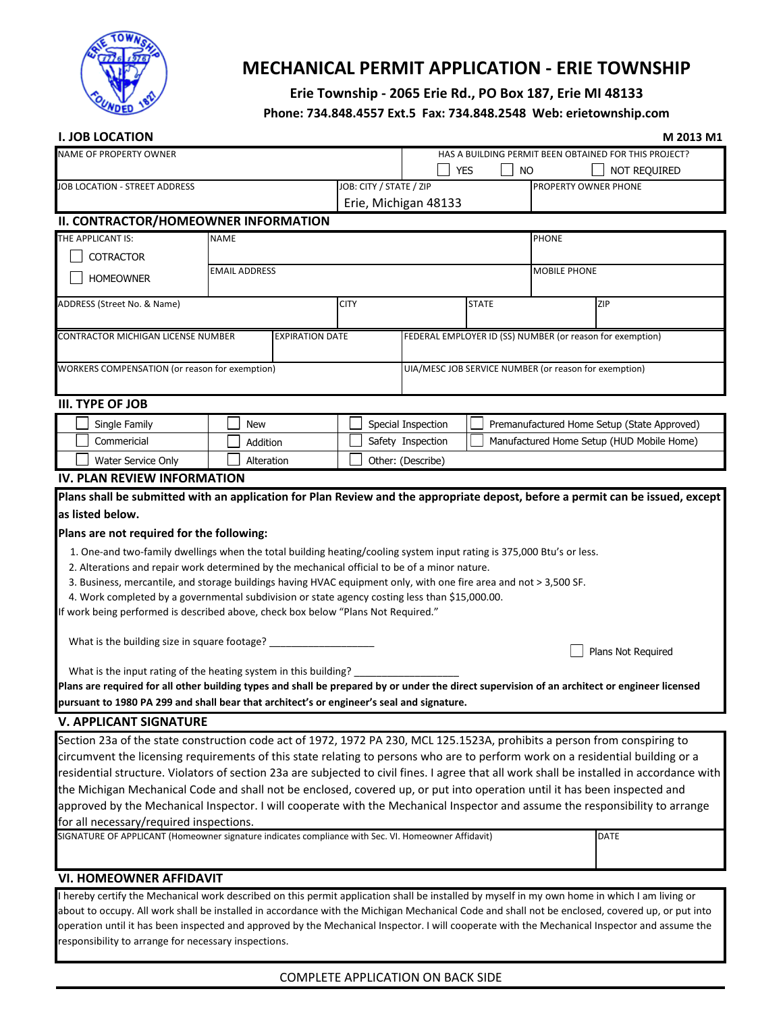

# **MECHANICAL PERMIT APPLICATION - ERIE TOWNSHIP**

## **Erie Township - 2065 Erie Rd., PO Box 187, Erie MI 48133**

### **Phone: 734.848.4557 Ext.5 Fax: 734.848.2548 Web: erietownship.com**

| <b>I. JOB LOCATION</b>                                                                                                                                                                                                 |                        |                         |                                                       |              |                                                           | M 2013 M1    |  |  |
|------------------------------------------------------------------------------------------------------------------------------------------------------------------------------------------------------------------------|------------------------|-------------------------|-------------------------------------------------------|--------------|-----------------------------------------------------------|--------------|--|--|
| <b>NAME OF PROPERTY OWNER</b>                                                                                                                                                                                          |                        |                         |                                                       |              | HAS A BUILDING PERMIT BEEN OBTAINED FOR THIS PROJECT?     |              |  |  |
|                                                                                                                                                                                                                        |                        |                         | YES                                                   | <b>NO</b>    |                                                           | NOT REQUIRED |  |  |
| <b>JOB LOCATION - STREET ADDRESS</b>                                                                                                                                                                                   |                        | JOB: CITY / STATE / ZIP |                                                       |              | PROPERTY OWNER PHONE                                      |              |  |  |
|                                                                                                                                                                                                                        |                        | Erie, Michigan 48133    |                                                       |              |                                                           |              |  |  |
| II. CONTRACTOR/HOMEOWNER INFORMATION                                                                                                                                                                                   |                        |                         |                                                       |              |                                                           |              |  |  |
| THE APPLICANT IS:                                                                                                                                                                                                      | <b>NAME</b>            |                         |                                                       |              | <b>PHONE</b>                                              |              |  |  |
| <b>COTRACTOR</b>                                                                                                                                                                                                       |                        |                         |                                                       |              |                                                           |              |  |  |
| <b>HOMEOWNER</b>                                                                                                                                                                                                       | <b>EMAIL ADDRESS</b>   |                         |                                                       |              | MOBILE PHONE                                              |              |  |  |
| ADDRESS (Street No. & Name)                                                                                                                                                                                            |                        | <b>CITY</b>             |                                                       | <b>STATE</b> | ZIP                                                       |              |  |  |
| <b>CONTRACTOR MICHIGAN LICENSE NUMBER</b>                                                                                                                                                                              | <b>EXPIRATION DATE</b> |                         |                                                       |              | FEDERAL EMPLOYER ID (SS) NUMBER (or reason for exemption) |              |  |  |
| WORKERS COMPENSATION (or reason for exemption)                                                                                                                                                                         |                        |                         | UIA/MESC JOB SERVICE NUMBER (or reason for exemption) |              |                                                           |              |  |  |
| <b>III. TYPE OF JOB</b>                                                                                                                                                                                                |                        |                         |                                                       |              |                                                           |              |  |  |
| Single Family                                                                                                                                                                                                          | <b>New</b>             |                         | Special Inspection                                    |              | Premanufactured Home Setup (State Approved)               |              |  |  |
| Commericial                                                                                                                                                                                                            | Addition               |                         | Safety Inspection                                     |              | Manufactured Home Setup (HUD Mobile Home)                 |              |  |  |
| Water Service Only                                                                                                                                                                                                     | Alteration             |                         | Other: (Describe)                                     |              |                                                           |              |  |  |
| <b>IV. PLAN REVIEW INFORMATION</b>                                                                                                                                                                                     |                        |                         |                                                       |              |                                                           |              |  |  |
| Plans shall be submitted with an application for Plan Review and the appropriate depost, before a permit can be issued, except                                                                                         |                        |                         |                                                       |              |                                                           |              |  |  |
| as listed below.                                                                                                                                                                                                       |                        |                         |                                                       |              |                                                           |              |  |  |
| Plans are not required for the following:                                                                                                                                                                              |                        |                         |                                                       |              |                                                           |              |  |  |
|                                                                                                                                                                                                                        |                        |                         |                                                       |              |                                                           |              |  |  |
| 1. One-and two-family dwellings when the total building heating/cooling system input rating is 375,000 Btu's or less.<br>2. Alterations and repair work determined by the mechanical official to be of a minor nature. |                        |                         |                                                       |              |                                                           |              |  |  |
| 3. Business, mercantile, and storage buildings having HVAC equipment only, with one fire area and not > 3,500 SF.                                                                                                      |                        |                         |                                                       |              |                                                           |              |  |  |
| 4. Work completed by a governmental subdivision or state agency costing less than \$15,000.00.                                                                                                                         |                        |                         |                                                       |              |                                                           |              |  |  |
| If work being performed is described above, check box below "Plans Not Required."                                                                                                                                      |                        |                         |                                                       |              |                                                           |              |  |  |
|                                                                                                                                                                                                                        |                        |                         |                                                       |              |                                                           |              |  |  |
| What is the building size in square footage?<br>Plans Not Required                                                                                                                                                     |                        |                         |                                                       |              |                                                           |              |  |  |
| What is the input rating of the heating system in this building?                                                                                                                                                       |                        |                         |                                                       |              |                                                           |              |  |  |
| Plans are required for all other building types and shall be prepared by or under the direct supervision of an architect or engineer licensed                                                                          |                        |                         |                                                       |              |                                                           |              |  |  |
| pursuant to 1980 PA 299 and shall bear that architect's or engineer's seal and signature.                                                                                                                              |                        |                         |                                                       |              |                                                           |              |  |  |
| <b>V. APPLICANT SIGNATURE</b>                                                                                                                                                                                          |                        |                         |                                                       |              |                                                           |              |  |  |
| Section 23a of the state construction code act of 1972, 1972 PA 230, MCL 125.1523A, prohibits a person from conspiring to                                                                                              |                        |                         |                                                       |              |                                                           |              |  |  |
| circumvent the licensing requirements of this state relating to persons who are to perform work on a residential building or a                                                                                         |                        |                         |                                                       |              |                                                           |              |  |  |
| residential structure. Violators of section 23a are subjected to civil fines. I agree that all work shall be installed in accordance with                                                                              |                        |                         |                                                       |              |                                                           |              |  |  |
| the Michigan Mechanical Code and shall not be enclosed, covered up, or put into operation until it has been inspected and                                                                                              |                        |                         |                                                       |              |                                                           |              |  |  |
| approved by the Mechanical Inspector. I will cooperate with the Mechanical Inspector and assume the responsibility to arrange                                                                                          |                        |                         |                                                       |              |                                                           |              |  |  |
| for all necessary/required inspections.                                                                                                                                                                                |                        |                         |                                                       |              |                                                           |              |  |  |
| SIGNATURE OF APPLICANT (Homeowner signature indicates compliance with Sec. VI. Homeowner Affidavit)                                                                                                                    |                        |                         |                                                       |              | DATE                                                      |              |  |  |
|                                                                                                                                                                                                                        |                        |                         |                                                       |              |                                                           |              |  |  |
| <b>VI. HOMEOWNER AFFIDAVIT</b>                                                                                                                                                                                         |                        |                         |                                                       |              |                                                           |              |  |  |
| I hereby certify the Mechanical work described on this permit application shall be installed by myself in my own home in which I am living or                                                                          |                        |                         |                                                       |              |                                                           |              |  |  |
|                                                                                                                                                                                                                        |                        |                         |                                                       |              |                                                           |              |  |  |

about to occupy. All work shall be installed in accordance with the Michigan Mechanical Code and shall not be enclosed, covered up, or put into operation until it has been inspected and approved by the Mechanical Inspector. I will cooperate with the Mechanical Inspector and assume the responsibility to arrange for necessary inspections.